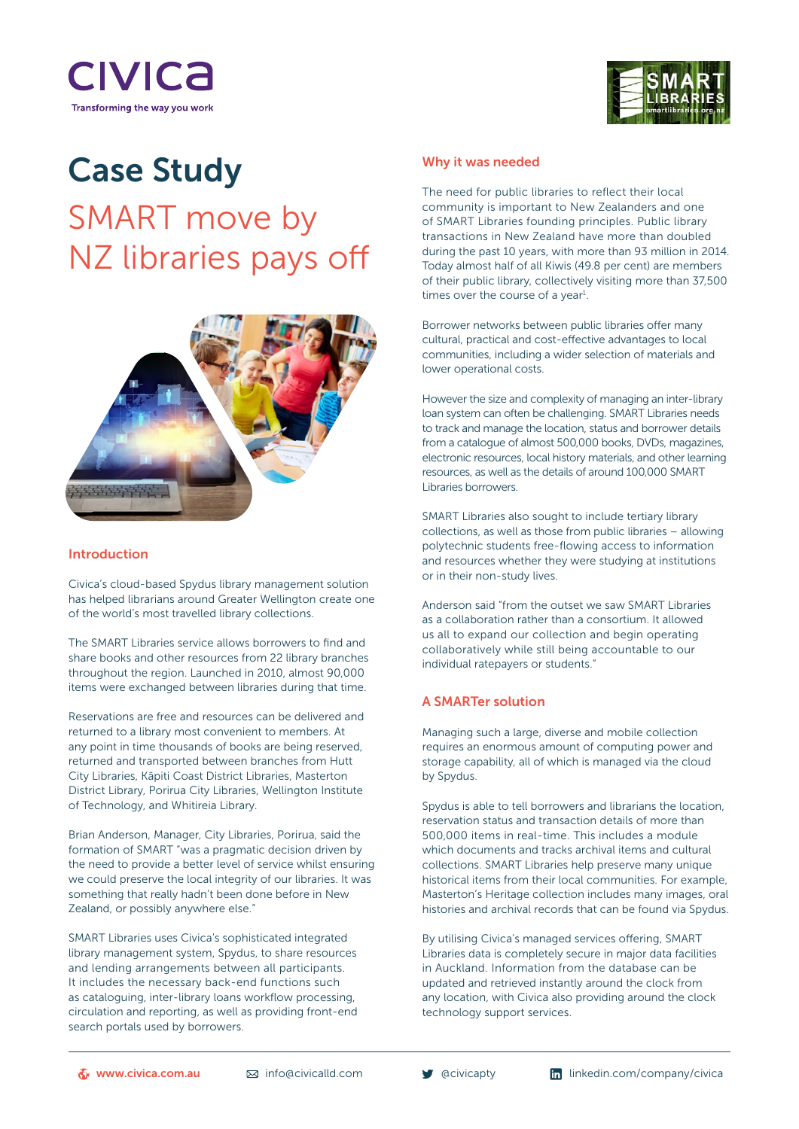



# Case Study SMART move by NZ libraries pays off



#### Introduction

Civica's cloud-based Spydus library management solution has helped librarians around Greater Wellington create one of the world's most travelled library collections.

The SMART Libraries service allows borrowers to find and share books and other resources from 22 library branches throughout the region. Launched in 2010, almost 90,000 items were exchanged between libraries during that time.

Reservations are free and resources can be delivered and returned to a library most convenient to members. At any point in time thousands of books are being reserved, returned and transported between branches from Hutt City Libraries, Kāpiti Coast District Libraries, Masterton District Library, Porirua City Libraries, Wellington Institute of Technology, and Whitireia Library.

Brian Anderson, Manager, City Libraries, Porirua, said the formation of SMART "was a pragmatic decision driven by the need to provide a better level of service whilst ensuring we could preserve the local integrity of our libraries. It was something that really hadn't been done before in New Zealand, or possibly anywhere else."

SMART Libraries uses Civica's sophisticated integrated library management system, Spydus, to share resources and lending arrangements between all participants. It includes the necessary back-end functions such as cataloguing, inter-library loans workflow processing, circulation and reporting, as well as providing front-end search portals used by borrowers.

#### Why it was needed

The need for public libraries to reflect their local community is important to New Zealanders and one of SMART Libraries founding principles. Public library transactions in New Zealand have more than doubled during the past 10 years, with more than 93 million in 2014. Today almost half of all Kiwis (49.8 per cent) are members of their public library, collectively visiting more than 37,500 times over the course of a year $<sup>1</sup>$ .</sup>

Borrower networks between public libraries offer many cultural, practical and cost-effective advantages to local communities, including a wider selection of materials and lower operational costs.

However the size and complexity of managing an inter-library loan system can often be challenging. SMART Libraries needs to track and manage the location, status and borrower details from a catalogue of almost 500,000 books, DVDs, magazines, electronic resources, local history materials, and other learning resources, as well as the details of around 100,000 SMART Libraries borrowers.

SMART Libraries also sought to include tertiary library collections, as well as those from public libraries – allowing polytechnic students free-flowing access to information and resources whether they were studying at institutions or in their non-study lives.

Anderson said "from the outset we saw SMART Libraries as a collaboration rather than a consortium. It allowed us all to expand our collection and begin operating collaboratively while still being accountable to our individual ratepayers or students."

# A SMARTer solution

Managing such a large, diverse and mobile collection requires an enormous amount of computing power and storage capability, all of which is managed via the cloud by Spydus.

Spydus is able to tell borrowers and librarians the location, reservation status and transaction details of more than 500,000 items in real-time. This includes a module which documents and tracks archival items and cultural collections. SMART Libraries help preserve many unique historical items from their local communities. For example, Masterton's Heritage collection includes many images, oral histories and archival records that can be found via Spydus.

By utilising Civica's managed services offering, SMART Libraries data is completely secure in major data facilities in Auckland. Information from the database can be updated and retrieved instantly around the clock from any location, with Civica also providing around the clock technology support services.